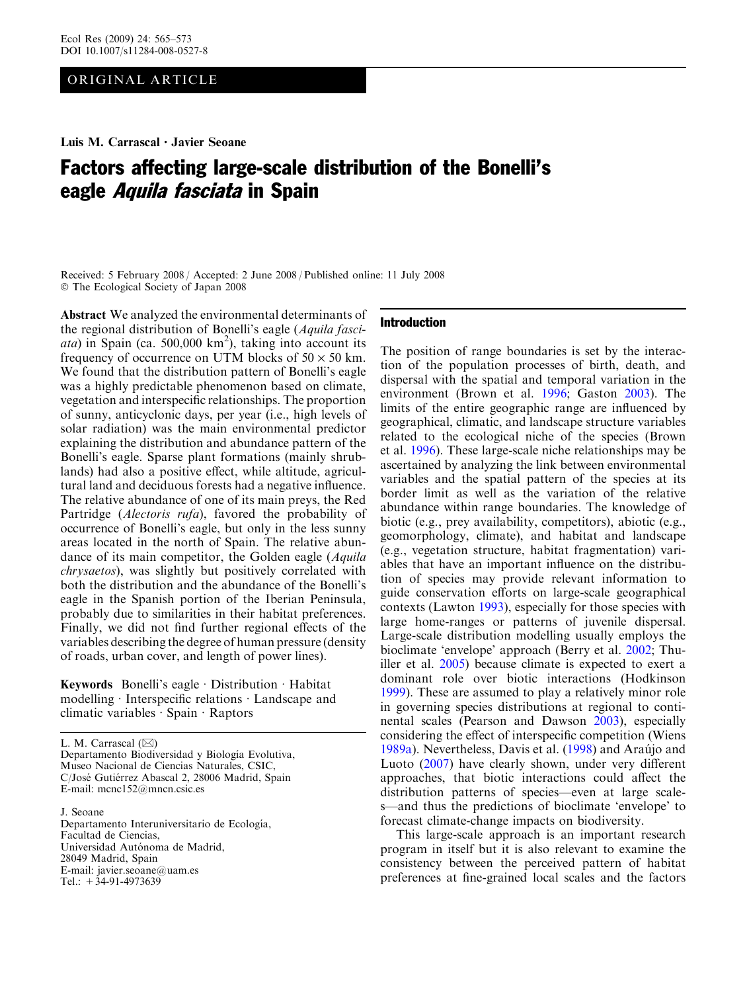## ORIGINAL ARTICLE

# Factors affecting large-scale distribution of the Bonelli's eagle Aquila fasciata in Spain

Received: 5 February 2008 / Accepted: 2 June 2008 / Published online: 11 July 2008 The Ecological Society of Japan 2008

Abstract We analyzed the environmental determinants of the regional distribution of Bonelli's eagle (Aquila fasci $ata$ ) in Spain (ca. 500,000 km<sup>2</sup>), taking into account its frequency of occurrence on UTM blocks of  $50 \times 50$  km. We found that the distribution pattern of Bonelli's eagle was a highly predictable phenomenon based on climate, vegetation and interspecific relationships. The proportion of sunny, anticyclonic days, per year (i.e., high levels of solar radiation) was the main environmental predictor explaining the distribution and abundance pattern of the Bonelli's eagle. Sparse plant formations (mainly shrublands) had also a positive effect, while altitude, agricultural land and deciduous forests had a negative influence. The relative abundance of one of its main preys, the Red Partridge (Alectoris rufa), favored the probability of occurrence of Bonelli's eagle, but only in the less sunny areas located in the north of Spain. The relative abundance of its main competitor, the Golden eagle (Aquila chrysaetos), was slightly but positively correlated with both the distribution and the abundance of the Bonelli's eagle in the Spanish portion of the Iberian Peninsula, probably due to similarities in their habitat preferences. Finally, we did not find further regional effects of the variables describing the degree of human pressure (density of roads, urban cover, and length of power lines).

Keywords Bonelli's eagle  $\cdot$  Distribution  $\cdot$  Habitat modelling  $\cdot$  Interspecific relations  $\cdot$  Landscape and climatic variables  $\cdot$  Spain  $\cdot$  Raptors

L. M. Carrascal  $(\boxtimes)$ 

Departamento Biodiversidad y Biología Evolutiva, Museo Nacional de Ciencias Naturales, CSIC, C/José Gutiérrez Abascal 2, 28006 Madrid, Spain E-mail: mcnc152@mncn.csic.es

J. Seoane Departamento Interuniversitario de Ecología, Facultad de Ciencias, Universidad Autónoma de Madrid, 28049 Madrid, Spain E-mail: javier.seoane@uam.es Tel.: +34-91-4973639

## Introduction

The position of range boundaries is set by the interaction of the population processes of birth, death, and dispersal with the spatial and temporal variation in the environment (Brown et al. [1996](#page-7-0); Gaston [2003](#page-7-0)). The limits of the entire geographic range are influenced by geographical, climatic, and landscape structure variables related to the ecological niche of the species (Brown et al. [1996](#page-7-0)). These large-scale niche relationships may be ascertained by analyzing the link between environmental variables and the spatial pattern of the species at its border limit as well as the variation of the relative abundance within range boundaries. The knowledge of biotic (e.g., prey availability, competitors), abiotic (e.g., geomorphology, climate), and habitat and landscape (e.g., vegetation structure, habitat fragmentation) variables that have an important influence on the distribution of species may provide relevant information to guide conservation efforts on large-scale geographical contexts (Lawton [1993\)](#page-8-0), especially for those species with large home-ranges or patterns of juvenile dispersal. Large-scale distribution modelling usually employs the bioclimate 'envelope' approach (Berry et al. [2002;](#page-7-0) Thuiller et al. [2005\)](#page-8-0) because climate is expected to exert a dominant role over biotic interactions (Hodkinson [1999\)](#page-8-0). These are assumed to play a relatively minor role in governing species distributions at regional to continental scales (Pearson and Dawson [2003\)](#page-8-0), especially considering the effect of interspecific competition (Wiens [1989a\)](#page-8-0). Nevertheless, Davis et al. [\(1998\)](#page-7-0) and Araújo and Luoto ([2007](#page-7-0)) have clearly shown, under very different approaches, that biotic interactions could affect the distribution patterns of species—even at large scales—and thus the predictions of bioclimate 'envelope' to forecast climate-change impacts on biodiversity.

This large-scale approach is an important research program in itself but it is also relevant to examine the consistency between the perceived pattern of habitat preferences at fine-grained local scales and the factors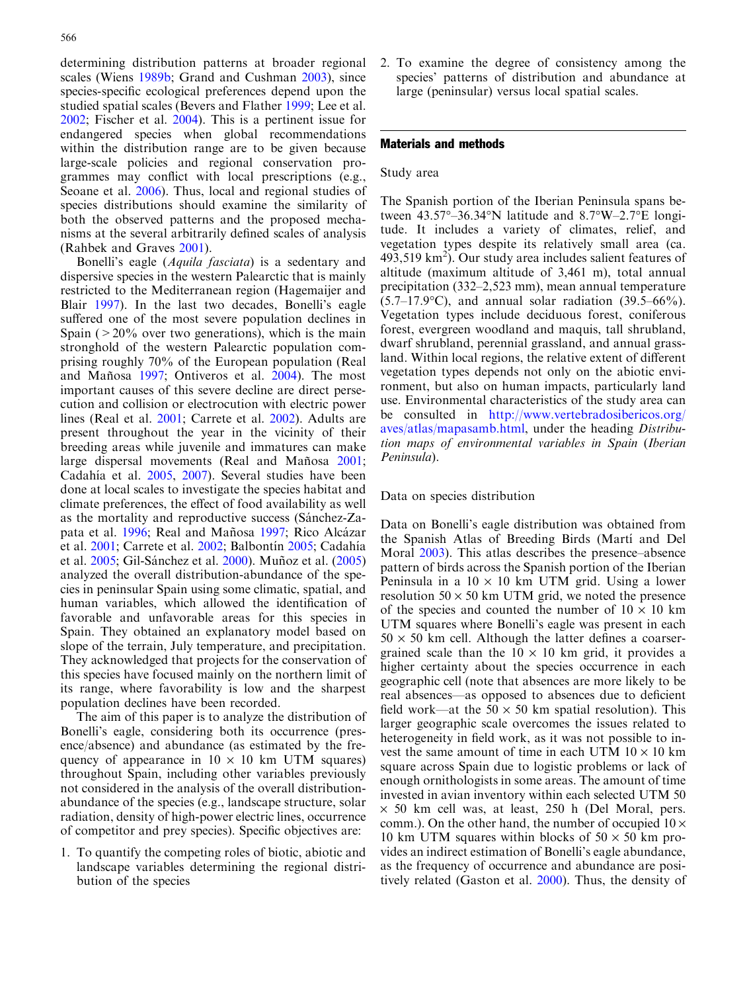determining distribution patterns at broader regional scales (Wiens [1989b](#page-8-0); Grand and Cushman [2003\)](#page-8-0), since species-specific ecological preferences depend upon the studied spatial scales (Bevers and Flather [1999;](#page-7-0) Lee et al. [2002](#page-8-0); Fischer et al. [2004](#page-7-0)). This is a pertinent issue for endangered species when global recommendations within the distribution range are to be given because large-scale policies and regional conservation programmes may conflict with local prescriptions (e.g., Seoane et al. [2006\)](#page-8-0). Thus, local and regional studies of species distributions should examine the similarity of both the observed patterns and the proposed mechanisms at the several arbitrarily defined scales of analysis (Rahbek and Graves [2001](#page-8-0)).

Bonelli's eagle (Aquila fasciata) is a sedentary and dispersive species in the western Palearctic that is mainly restricted to the Mediterranean region (Hagemaijer and Blair [1997\)](#page-8-0). In the last two decades, Bonelli's eagle suffered one of the most severe population declines in Spain ( $>20\%$  over two generations), which is the main stronghold of the western Palearctic population comprising roughly 70% of the European population (Real and Mañosa [1997](#page-8-0); Ontiveros et al. [2004\)](#page-8-0). The most important causes of this severe decline are direct persecution and collision or electrocution with electric power lines (Real et al. [2001;](#page-8-0) Carrete et al. [2002](#page-7-0)). Adults are present throughout the year in the vicinity of their breeding areas while juvenile and immatures can make large dispersal movements (Real and Mañosa [2001](#page-8-0); Cadahía et al. [2005,](#page-7-0) [2007\)](#page-7-0). Several studies have been done at local scales to investigate the species habitat and climate preferences, the effect of food availability as well as the mortality and reproductive success (Sánchez-Za-pata et al. [1996](#page-8-0); Real and Mañosa [1997](#page-8-0); Rico Alcázar et al. [2001;](#page-8-0) Carrete et al. [2002;](#page-7-0) Balbontín [2005;](#page-7-0) Cadahía et al. [2005;](#page-7-0) Gil-Sánchez et al. [2000\)](#page-7-0). Muñoz et al. [\(2005\)](#page-8-0) analyzed the overall distribution-abundance of the species in peninsular Spain using some climatic, spatial, and human variables, which allowed the identification of favorable and unfavorable areas for this species in Spain. They obtained an explanatory model based on slope of the terrain, July temperature, and precipitation. They acknowledged that projects for the conservation of this species have focused mainly on the northern limit of its range, where favorability is low and the sharpest population declines have been recorded.

The aim of this paper is to analyze the distribution of Bonelli's eagle, considering both its occurrence (presence/absence) and abundance (as estimated by the frequency of appearance in  $10 \times 10$  km UTM squares) throughout Spain, including other variables previously not considered in the analysis of the overall distributionabundance of the species (e.g., landscape structure, solar radiation, density of high-power electric lines, occurrence of competitor and prey species). Specific objectives are:

1. To quantify the competing roles of biotic, abiotic and landscape variables determining the regional distribution of the species

2. To examine the degree of consistency among the species' patterns of distribution and abundance at large (peninsular) versus local spatial scales.

# Materials and methods

## Study area

The Spanish portion of the Iberian Peninsula spans between  $43.57^{\circ}$ -36.34°N latitude and  $8.7^{\circ}$ W-2.7°E longitude. It includes a variety of climates, relief, and vegetation types despite its relatively small area (ca.  $493,519$  km<sup>2</sup>). Our study area includes salient features of altitude (maximum altitude of 3,461 m), total annual precipitation (332–2,523 mm), mean annual temperature  $(5.7-17.9\textdegree C)$ , and annual solar radiation  $(39.5-66\%).$ Vegetation types include deciduous forest, coniferous forest, evergreen woodland and maquis, tall shrubland, dwarf shrubland, perennial grassland, and annual grassland. Within local regions, the relative extent of different vegetation types depends not only on the abiotic environment, but also on human impacts, particularly land use. Environmental characteristics of the study area can be consulted in [http://www.vertebradosibericos.org/](http://www.vertebradosibericos.org/aves/atlas/mapasamb.html) [aves/atlas/mapasamb.html,](http://www.vertebradosibericos.org/aves/atlas/mapasamb.html) under the heading Distribution maps of environmental variables in Spain (Iberian Peninsula).

#### Data on species distribution

Data on Bonelli's eagle distribution was obtained from the Spanish Atlas of Breeding Birds (Martí and Del Moral [2003\)](#page-8-0). This atlas describes the presence–absence pattern of birds across the Spanish portion of the Iberian Peninsula in a  $10 \times 10$  km UTM grid. Using a lower resolution  $50 \times 50$  km UTM grid, we noted the presence of the species and counted the number of  $10 \times 10$  km UTM squares where Bonelli's eagle was present in each  $50 \times 50$  km cell. Although the latter defines a coarsergrained scale than the  $10 \times 10$  km grid, it provides a higher certainty about the species occurrence in each geographic cell (note that absences are more likely to be real absences—as opposed to absences due to deficient field work—at the  $50 \times 50$  km spatial resolution). This larger geographic scale overcomes the issues related to heterogeneity in field work, as it was not possible to invest the same amount of time in each UTM  $10 \times 10$  km square across Spain due to logistic problems or lack of enough ornithologists in some areas. The amount of time invested in avian inventory within each selected UTM 50  $\times$  50 km cell was, at least, 250 h (Del Moral, pers. comm.). On the other hand, the number of occupied  $10 \times$ 10 km UTM squares within blocks of  $50 \times 50$  km provides an indirect estimation of Bonelli's eagle abundance, as the frequency of occurrence and abundance are positively related (Gaston et al. [2000\)](#page-7-0). Thus, the density of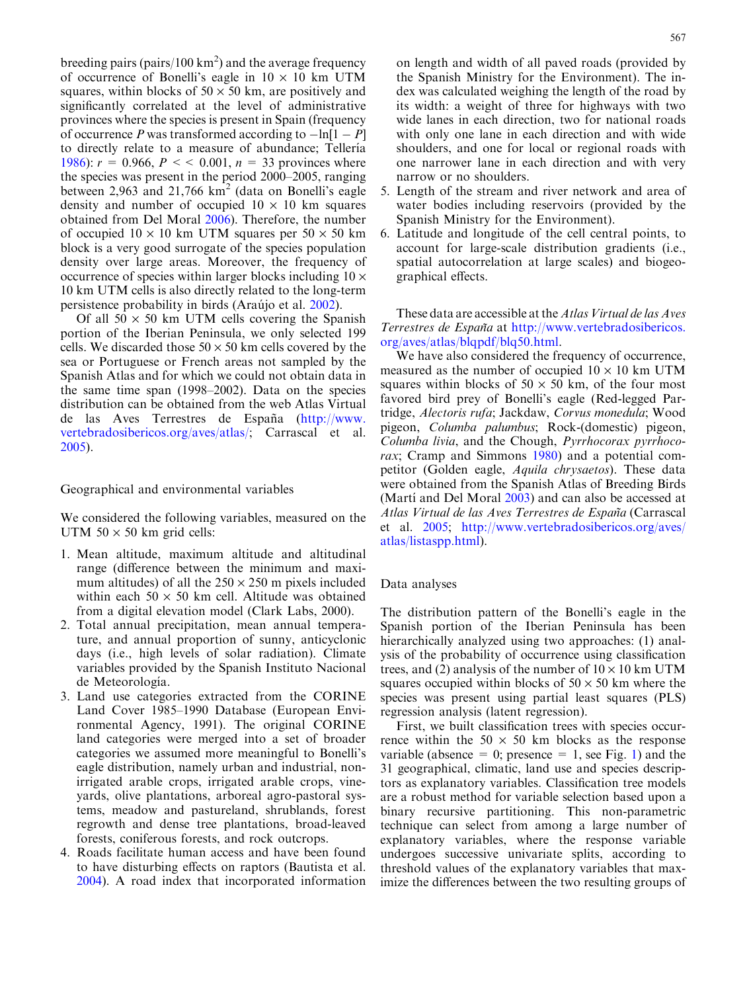breeding pairs (pairs/100 km<sup>2</sup>) and the average frequency of occurrence of Bonelli's eagle in  $10 \times 10$  km UTM squares, within blocks of  $50 \times 50$  km, are positively and significantly correlated at the level of administrative provinces where the species is present in Spain (frequency of occurrence P was transformed according to  $-\ln[1 - P]$ to directly relate to a measure of abundance; Tellería [1986](#page-8-0)):  $r = 0.966$ ,  $P \leq 0.001$ ,  $n = 33$  provinces where the species was present in the period 2000–2005, ranging between 2,963 and 21,766  $km<sup>2</sup>$  (data on Bonelli's eagle density and number of occupied  $10 \times 10$  km squares obtained from Del Moral [2006\)](#page-7-0). Therefore, the number of occupied  $10 \times 10$  km UTM squares per  $50 \times 50$  km block is a very good surrogate of the species population density over large areas. Moreover, the frequency of occurrence of species within larger blocks including  $10 \times$ 10 km UTM cells is also directly related to the long-term persistence probability in birds (Araújo et al. [2002](#page-7-0)).

Of all  $50 \times 50$  km UTM cells covering the Spanish portion of the Iberian Peninsula, we only selected 199 cells. We discarded those  $50 \times 50$  km cells covered by the sea or Portuguese or French areas not sampled by the Spanish Atlas and for which we could not obtain data in the same time span (1998–2002). Data on the species distribution can be obtained from the web Atlas Virtual de las Aves Terrestres de España ([http://www.](http://www.vertebradosibericos.org/aves/atlas/) [vertebradosibericos.org/aves/atlas/;](http://www.vertebradosibericos.org/aves/atlas/) Carrascal et al. [2005](#page-7-0)).

# Geographical and environmental variables

We considered the following variables, measured on the UTM  $50 \times 50$  km grid cells:

- 1. Mean altitude, maximum altitude and altitudinal range (difference between the minimum and maximum altitudes) of all the  $250 \times 250$  m pixels included within each  $50 \times 50$  km cell. Altitude was obtained from a digital elevation model (Clark Labs, 2000).
- 2. Total annual precipitation, mean annual temperature, and annual proportion of sunny, anticyclonic days (i.e., high levels of solar radiation). Climate variables provided by the Spanish Instituto Nacional de Meteorología.
- 3. Land use categories extracted from the CORINE Land Cover 1985–1990 Database (European Environmental Agency, 1991). The original CORINE land categories were merged into a set of broader categories we assumed more meaningful to Bonelli's eagle distribution, namely urban and industrial, nonirrigated arable crops, irrigated arable crops, vineyards, olive plantations, arboreal agro-pastoral systems, meadow and pastureland, shrublands, forest regrowth and dense tree plantations, broad-leaved forests, coniferous forests, and rock outcrops.
- 4. Roads facilitate human access and have been found to have disturbing effects on raptors (Bautista et al. [2004](#page-7-0)). A road index that incorporated information

on length and width of all paved roads (provided by the Spanish Ministry for the Environment). The index was calculated weighing the length of the road by its width: a weight of three for highways with two wide lanes in each direction, two for national roads with only one lane in each direction and with wide shoulders, and one for local or regional roads with one narrower lane in each direction and with very narrow or no shoulders.

- 5. Length of the stream and river network and area of water bodies including reservoirs (provided by the Spanish Ministry for the Environment).
- 6. Latitude and longitude of the cell central points, to account for large-scale distribution gradients (i.e., spatial autocorrelation at large scales) and biogeographical effects.

These data are accessible at the Atlas Virtual de las Aves Terrestres de España at [http://www.vertebradosibericos.](http://www.vertebradosibericos.org/aves/atlas/blqpdf/blq50.html) [org/aves/atlas/blqpdf/blq50.html.](http://www.vertebradosibericos.org/aves/atlas/blqpdf/blq50.html)

We have also considered the frequency of occurrence, measured as the number of occupied  $10 \times 10$  km UTM squares within blocks of  $50 \times 50$  km, of the four most favored bird prey of Bonelli's eagle (Red-legged Partridge, Alectoris rufa; Jackdaw, Corvus monedula; Wood pigeon, Columba palumbus; Rock-(domestic) pigeon, Columba livia, and the Chough, Pyrrhocorax pyrrhoco-rax; Cramp and Simmons [1980\)](#page-7-0) and a potential competitor (Golden eagle, Aquila chrysaetos). These data were obtained from the Spanish Atlas of Breeding Birds (Martí and Del Moral  $2003$ ) and can also be accessed at Atlas Virtual de las Aves Terrestres de España (Carrascal et al. [2005;](#page-7-0) [http://www.vertebradosibericos.org/aves/](http://www.vertebradosibericos.org/aves/atlas/listaspp.html) [atlas/listaspp.html\)](http://www.vertebradosibericos.org/aves/atlas/listaspp.html).

#### Data analyses

The distribution pattern of the Bonelli's eagle in the Spanish portion of the Iberian Peninsula has been hierarchically analyzed using two approaches: (1) analysis of the probability of occurrence using classification trees, and (2) analysis of the number of  $10 \times 10$  km UTM squares occupied within blocks of  $50 \times 50$  km where the species was present using partial least squares (PLS) regression analysis (latent regression).

First, we built classification trees with species occurrence within the  $50 \times 50$  km blocks as the response variable (absence = 0; presence = [1](#page-3-0), see Fig. 1) and the 31 geographical, climatic, land use and species descriptors as explanatory variables. Classification tree models are a robust method for variable selection based upon a binary recursive partitioning. This non-parametric technique can select from among a large number of explanatory variables, where the response variable undergoes successive univariate splits, according to threshold values of the explanatory variables that maximize the differences between the two resulting groups of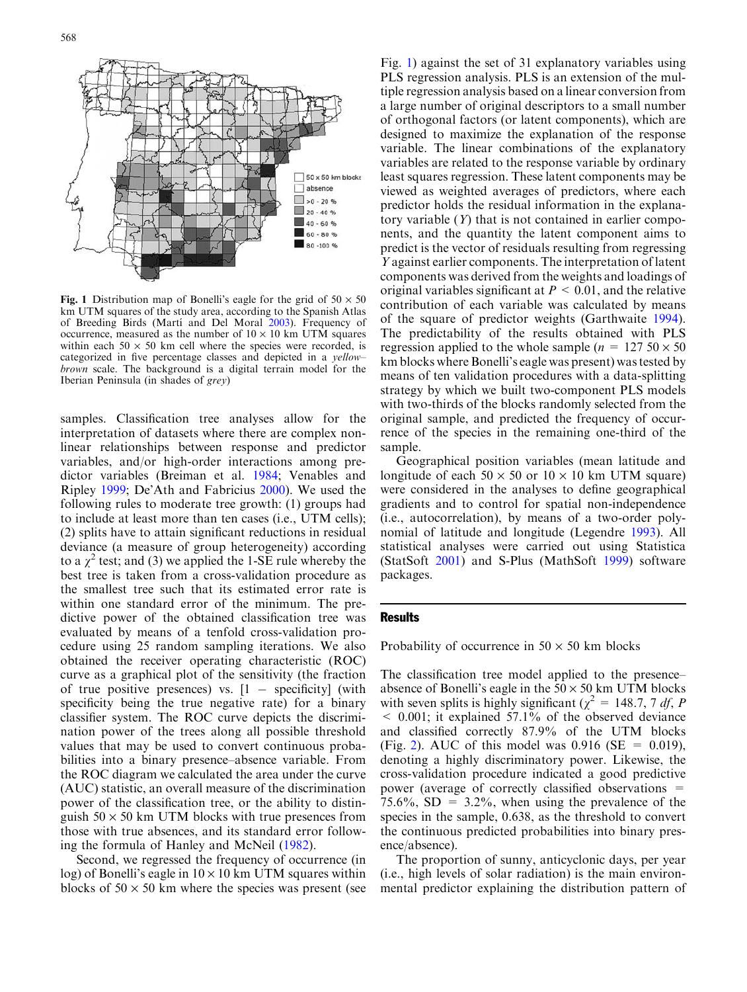<span id="page-3-0"></span>

Fig. 1 Distribution map of Bonelli's eagle for the grid of  $50 \times 50$ km UTM squares of the study area, according to the Spanish Atlas of Breeding Birds (Martí and Del Moral [2003](#page-8-0)). Frequency of occurrence, measured as the number of  $10 \times 10$  km UTM squares within each  $50 \times 50$  km cell where the species were recorded, is categorized in five percentage classes and depicted in a yellow– brown scale. The background is a digital terrain model for the Iberian Peninsula (in shades of grey)

samples. Classification tree analyses allow for the interpretation of datasets where there are complex nonlinear relationships between response and predictor variables, and/or high-order interactions among predictor variables (Breiman et al. [1984;](#page-7-0) Venables and Ripley [1999;](#page-8-0) De'Ath and Fabricius [2000\)](#page-7-0). We used the following rules to moderate tree growth: (1) groups had to include at least more than ten cases (i.e., UTM cells); (2) splits have to attain significant reductions in residual deviance (a measure of group heterogeneity) according to a  $\chi^2$  test; and (3) we applied the 1-SE rule whereby the best tree is taken from a cross-validation procedure as the smallest tree such that its estimated error rate is within one standard error of the minimum. The predictive power of the obtained classification tree was evaluated by means of a tenfold cross-validation procedure using 25 random sampling iterations. We also obtained the receiver operating characteristic (ROC) curve as a graphical plot of the sensitivity (the fraction of true positive presences) vs.  $[1 -$  specificity] (with specificity being the true negative rate) for a binary classifier system. The ROC curve depicts the discrimination power of the trees along all possible threshold values that may be used to convert continuous probabilities into a binary presence–absence variable. From the ROC diagram we calculated the area under the curve (AUC) statistic, an overall measure of the discrimination power of the classification tree, or the ability to distinguish  $50 \times 50$  km UTM blocks with true presences from those with true absences, and its standard error following the formula of Hanley and McNeil [\(1982](#page-8-0)).

Second, we regressed the frequency of occurrence (in log) of Bonelli's eagle in  $10 \times 10$  km UTM squares within blocks of  $50 \times 50$  km where the species was present (see

Fig. 1) against the set of 31 explanatory variables using PLS regression analysis. PLS is an extension of the multiple regression analysis based on a linear conversion from a large number of original descriptors to a small number of orthogonal factors (or latent components), which are designed to maximize the explanation of the response variable. The linear combinations of the explanatory variables are related to the response variable by ordinary least squares regression. These latent components may be viewed as weighted averages of predictors, where each predictor holds the residual information in the explanatory variable  $(Y)$  that is not contained in earlier components, and the quantity the latent component aims to predict is the vector of residuals resulting from regressing Y against earlier components. The interpretation of latent components was derived from the weights and loadings of original variables significant at  $P \leq 0.01$ , and the relative contribution of each variable was calculated by means of the square of predictor weights (Garthwaite [1994\)](#page-7-0). The predictability of the results obtained with PLS regression applied to the whole sample ( $n = 127.50 \times 50$ km blocks where Bonelli's eagle was present) was tested by means of ten validation procedures with a data-splitting strategy by which we built two-component PLS models with two-thirds of the blocks randomly selected from the original sample, and predicted the frequency of occurrence of the species in the remaining one-third of the sample.

Geographical position variables (mean latitude and longitude of each  $50 \times 50$  or  $10 \times 10$  km UTM square) were considered in the analyses to define geographical gradients and to control for spatial non-independence (i.e., autocorrelation), by means of a two-order polynomial of latitude and longitude (Legendre [1993](#page-8-0)). All statistical analyses were carried out using Statistica (StatSoft [2001\)](#page-8-0) and S-Plus (MathSoft [1999](#page-8-0)) software packages.

## **Results**

Probability of occurrence in  $50 \times 50$  km blocks

The classification tree model applied to the presence– absence of Bonelli's eagle in the  $50 \times 50$  km UTM blocks with seven splits is highly significant ( $\chi^2 = 148.7$ , 7 df, P  $\leq$  0.001; it explained 57.1% of the observed deviance and classified correctly 87.9% of the UTM blocks (Fig. [2\)](#page-4-0). AUC of this model was 0.916 (SE =  $0.019$ ), denoting a highly discriminatory power. Likewise, the cross-validation procedure indicated a good predictive power (average of correctly classified observations = 75.6%,  $SD = 3.2\%$ , when using the prevalence of the species in the sample, 0.638, as the threshold to convert the continuous predicted probabilities into binary presence/absence).

The proportion of sunny, anticyclonic days, per year (i.e., high levels of solar radiation) is the main environmental predictor explaining the distribution pattern of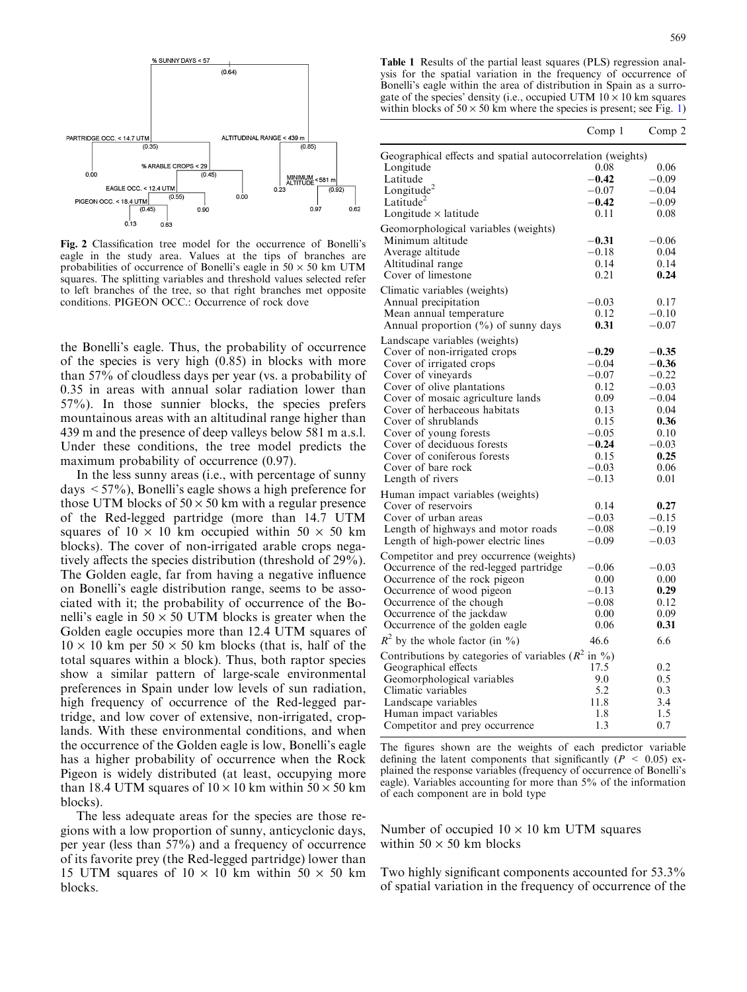<span id="page-4-0"></span>

Fig. 2 Classification tree model for the occurrence of Bonelli's eagle in the study area. Values at the tips of branches are probabilities of occurrence of Bonelli's eagle in  $50 \times 50$  km UTM squares. The splitting variables and threshold values selected refer to left branches of the tree, so that right branches met opposite conditions. PIGEON OCC.: Occurrence of rock dove

the Bonelli's eagle. Thus, the probability of occurrence of the species is very high (0.85) in blocks with more than 57% of cloudless days per year (vs. a probability of 0.35 in areas with annual solar radiation lower than 57%). In those sunnier blocks, the species prefers mountainous areas with an altitudinal range higher than 439 m and the presence of deep valleys below 581 m a.s.l. Under these conditions, the tree model predicts the maximum probability of occurrence  $(0.97)$ .

In the less sunny areas (i.e., with percentage of sunny days  $\leq 57\%$ ), Bonelli's eagle shows a high preference for those UTM blocks of  $50 \times 50$  km with a regular presence of the Red-legged partridge (more than 14.7 UTM squares of  $10 \times 10$  km occupied within  $50 \times 50$  km blocks). The cover of non-irrigated arable crops negatively affects the species distribution (threshold of 29%). The Golden eagle, far from having a negative influence on Bonelli's eagle distribution range, seems to be associated with it; the probability of occurrence of the Bonelli's eagle in  $50 \times 50$  UTM blocks is greater when the Golden eagle occupies more than 12.4 UTM squares of  $10 \times 10$  km per  $50 \times 50$  km blocks (that is, half of the total squares within a block). Thus, both raptor species show a similar pattern of large-scale environmental preferences in Spain under low levels of sun radiation, high frequency of occurrence of the Red-legged partridge, and low cover of extensive, non-irrigated, croplands. With these environmental conditions, and when the occurrence of the Golden eagle is low, Bonelli's eagle has a higher probability of occurrence when the Rock Pigeon is widely distributed (at least, occupying more than 18.4 UTM squares of  $10 \times 10$  km within  $50 \times 50$  km blocks).

The less adequate areas for the species are those regions with a low proportion of sunny, anticyclonic days, per year (less than 57%) and a frequency of occurrence of its favorite prey (the Red-legged partridge) lower than 15 UTM squares of  $10 \times 10$  km within  $50 \times 50$  km blocks.

Table 1 Results of the partial least squares (PLS) regression analysis for the spatial variation in the frequency of occurrence of Bonelli's eagle within the area of distribution in Spain as a surrogate of the species' density (i.e., occupied UTM  $10 \times 10$  km squares within blocks of  $50 \times 50$  km where the species is present; see Fig. [1](#page-3-0))

|                                                            | Comp 1     | Comp 2  |
|------------------------------------------------------------|------------|---------|
| Geographical effects and spatial autocorrelation (weights) |            |         |
| Longitude                                                  | 0.08       | 0.06    |
| Latitude                                                   | $-0.42$    | $-0.09$ |
| Longitude <sup>2</sup>                                     | $-0.07$    | $-0.04$ |
| Latitude <sup>2</sup>                                      | $-0.42$    | $-0.09$ |
| Longitude $\times$ latitude                                | 0.11       | 0.08    |
| Geomorphological variables (weights)                       |            |         |
| Minimum altitude                                           | $-0.31$    | $-0.06$ |
| Average altitude                                           | $-0.18$    | 0.04    |
| Altitudinal range                                          | 0.14       | 0.14    |
| Cover of limestone                                         | 0.21       | 0.24    |
| Climatic variables (weights)                               |            |         |
| Annual precipitation                                       | $-0.03$    | 0.17    |
| Mean annual temperature                                    | 0.12       | $-0.10$ |
| Annual proportion (%) of sunny days                        | 0.31       | $-0.07$ |
| Landscape variables (weights)                              |            |         |
| Cover of non-irrigated crops                               | $-0.29$    | $-0.35$ |
| Cover of irrigated crops                                   | $-0.04$    | $-0.36$ |
| Cover of vineyards                                         | $-0.07$    | $-0.22$ |
| Cover of olive plantations                                 | 0.12       | $-0.03$ |
| Cover of mosaic agriculture lands                          | 0.09       | $-0.04$ |
| Cover of herbaceous habitats                               | 0.13       | 0.04    |
| Cover of shrublands                                        | 0.15       | 0.36    |
| Cover of young forests                                     | $-0.05$    | 0.10    |
| Cover of deciduous forests                                 | $-0.24$    | $-0.03$ |
| Cover of coniferous forests                                | 0.15       | 0.25    |
| Cover of bare rock                                         | $-0.03$    | 0.06    |
| Length of rivers                                           | $-0.13$    | 0.01    |
| Human impact variables (weights)                           |            |         |
| Cover of reservoirs                                        | 0.14       | 0.27    |
| Cover of urban areas                                       | $-0.03$    | $-0.15$ |
| Length of highways and motor roads                         | $-0.08$    | $-0.19$ |
| Length of high-power electric lines                        | $-0.09$    | $-0.03$ |
| Competitor and prey occurrence (weights)                   |            |         |
| Occurrence of the red-legged partridge                     | $-0.06$    | $-0.03$ |
| Occurrence of the rock pigeon                              | 0.00       | 0.00    |
| Occurrence of wood pigeon                                  | $-0.13$    | 0.29    |
| Occurrence of the chough                                   | $^{-0.08}$ | 0.12    |
| Occurrence of the jackdaw                                  | 0.00       | 0.09    |
| Occurrence of the golden eagle                             | 0.06       | 0.31    |
| $R^2$ by the whole factor (in %)                           | 46.6       | 6.6     |
| Contributions by categories of variables ( $R^2$ in %)     |            |         |
| Geographical effects                                       | 17.5       | 0.2     |
| Geomorphological variables                                 | 9.0        | 0.5     |
| Climatic variables                                         | 5.2        | 0.3     |
| Landscape variables                                        | 11.8       | 3.4     |
| Human impact variables                                     | 1.8        | 1.5     |
| Competitor and prey occurrence                             | 1.3        | 0.7     |
|                                                            |            |         |

The figures shown are the weights of each predictor variable defining the latent components that significantly ( $P < 0.05$ ) explained the response variables (frequency of occurrence of Bonelli's eagle). Variables accounting for more than 5% of the information of each component are in bold type

Number of occupied  $10 \times 10$  km UTM squares within  $50 \times 50$  km blocks

Two highly significant components accounted for 53.3% of spatial variation in the frequency of occurrence of the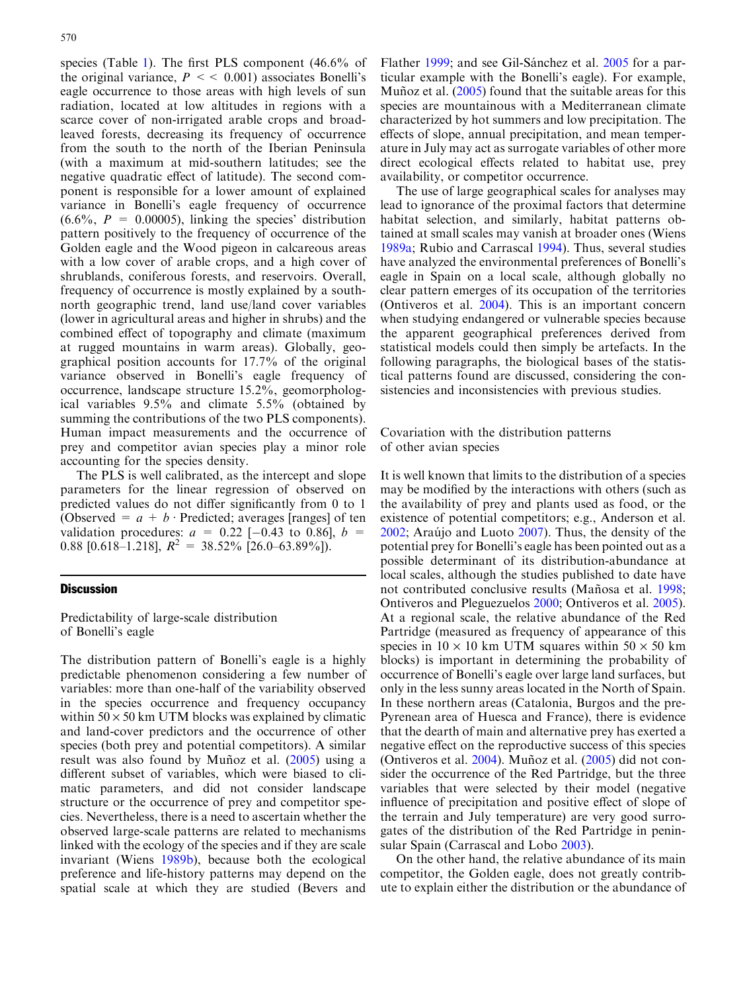species (Table [1](#page-4-0)). The first PLS component (46.6% of the original variance,  $P \leq 0.001$ ) associates Bonelli's eagle occurrence to those areas with high levels of sun radiation, located at low altitudes in regions with a scarce cover of non-irrigated arable crops and broadleaved forests, decreasing its frequency of occurrence from the south to the north of the Iberian Peninsula (with a maximum at mid-southern latitudes; see the negative quadratic effect of latitude). The second component is responsible for a lower amount of explained variance in Bonelli's eagle frequency of occurrence  $(6.6\%, P = 0.00005)$ , linking the species' distribution pattern positively to the frequency of occurrence of the Golden eagle and the Wood pigeon in calcareous areas with a low cover of arable crops, and a high cover of shrublands, coniferous forests, and reservoirs. Overall, frequency of occurrence is mostly explained by a southnorth geographic trend, land use/land cover variables (lower in agricultural areas and higher in shrubs) and the combined effect of topography and climate (maximum at rugged mountains in warm areas). Globally, geographical position accounts for 17.7% of the original variance observed in Bonelli's eagle frequency of occurrence, landscape structure 15.2%, geomorphological variables 9.5% and climate 5.5% (obtained by summing the contributions of the two PLS components). Human impact measurements and the occurrence of prey and competitor avian species play a minor role accounting for the species density.

The PLS is well calibrated, as the intercept and slope parameters for the linear regression of observed on predicted values do not differ significantly from 0 to 1 (Observed =  $a + b$  Predicted; averages [ranges] of ten validation procedures:  $a = 0.22$  [-0.43 to 0.86],  $b =$ 0.88 [0.618–1.218],  $R^2 = 38.52\%$  [26.0–63.89%]).

## **Discussion**

Predictability of large-scale distribution of Bonelli's eagle

The distribution pattern of Bonelli's eagle is a highly predictable phenomenon considering a few number of variables: more than one-half of the variability observed in the species occurrence and frequency occupancy within  $50 \times 50$  km UTM blocks was explained by climatic and land-cover predictors and the occurrence of other species (both prey and potential competitors). A similar result was also found by Munoz et al.  $(2005)$  using a different subset of variables, which were biased to climatic parameters, and did not consider landscape structure or the occurrence of prey and competitor species. Nevertheless, there is a need to ascertain whether the observed large-scale patterns are related to mechanisms linked with the ecology of the species and if they are scale invariant (Wiens [1989b](#page-8-0)), because both the ecological preference and life-history patterns may depend on the spatial scale at which they are studied (Bevers and

Flather [1999;](#page-7-0) and see Gil-Sánchez et al. [2005](#page-7-0) for a particular example with the Bonelli's eagle). For example, Muñoz et al.  $(2005)$  $(2005)$  found that the suitable areas for this species are mountainous with a Mediterranean climate characterized by hot summers and low precipitation. The effects of slope, annual precipitation, and mean temperature in July may act as surrogate variables of other more direct ecological effects related to habitat use, prey availability, or competitor occurrence.

The use of large geographical scales for analyses may lead to ignorance of the proximal factors that determine habitat selection, and similarly, habitat patterns obtained at small scales may vanish at broader ones (Wiens [1989a;](#page-8-0) Rubio and Carrascal [1994](#page-8-0)). Thus, several studies have analyzed the environmental preferences of Bonelli's eagle in Spain on a local scale, although globally no clear pattern emerges of its occupation of the territories (Ontiveros et al. [2004\)](#page-8-0). This is an important concern when studying endangered or vulnerable species because the apparent geographical preferences derived from statistical models could then simply be artefacts. In the following paragraphs, the biological bases of the statistical patterns found are discussed, considering the consistencies and inconsistencies with previous studies.

Covariation with the distribution patterns of other avian species

It is well known that limits to the distribution of a species may be modified by the interactions with others (such as the availability of prey and plants used as food, or the existence of potential competitors; e.g., Anderson et al.  $2002$ ; Araújo and Luoto  $2007$ ). Thus, the density of the potential prey for Bonelli's eagle has been pointed out as a possible determinant of its distribution-abundance at local scales, although the studies published to date have not contributed conclusive results (Mañosa et al. [1998](#page-8-0); Ontiveros and Pleguezuelos [2000;](#page-8-0) Ontiveros et al. [2005\)](#page-8-0). At a regional scale, the relative abundance of the Red Partridge (measured as frequency of appearance of this species in  $10 \times 10$  km UTM squares within  $50 \times 50$  km blocks) is important in determining the probability of occurrence of Bonelli's eagle over large land surfaces, but only in the less sunny areas located in the North of Spain. In these northern areas (Catalonia, Burgos and the pre-Pyrenean area of Huesca and France), there is evidence that the dearth of main and alternative prey has exerted a negative effect on the reproductive success of this species (Ontiveros et al.  $2004$ ). Muñoz et al.  $(2005)$  did not consider the occurrence of the Red Partridge, but the three variables that were selected by their model (negative influence of precipitation and positive effect of slope of the terrain and July temperature) are very good surrogates of the distribution of the Red Partridge in penin-sular Spain (Carrascal and Lobo [2003\)](#page-7-0).

On the other hand, the relative abundance of its main competitor, the Golden eagle, does not greatly contribute to explain either the distribution or the abundance of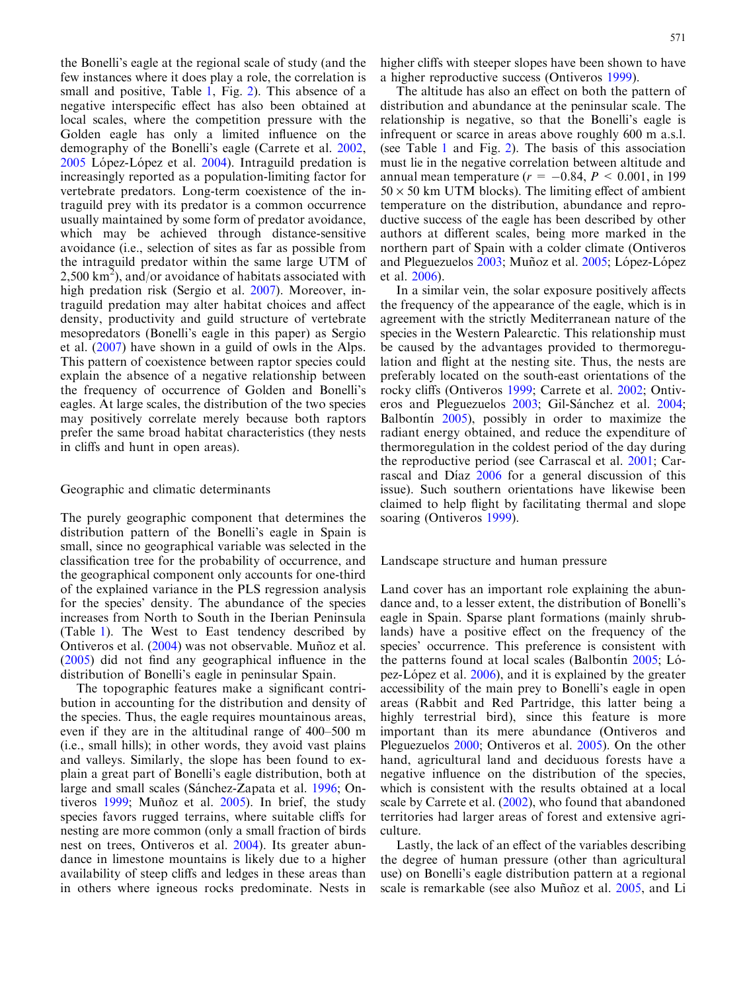the Bonelli's eagle at the regional scale of study (and the few instances where it does play a role, the correlation is small and positive, Table [1](#page-4-0), Fig. [2](#page-4-0)). This absence of a negative interspecific effect has also been obtained at local scales, where the competition pressure with the Golden eagle has only a limited influence on the demography of the Bonelli's eagle (Carrete et al. [2002](#page-7-0),  $2005$  López-López et al.  $2004$ ). Intraguild predation is increasingly reported as a population-limiting factor for vertebrate predators. Long-term coexistence of the intraguild prey with its predator is a common occurrence usually maintained by some form of predator avoidance, which may be achieved through distance-sensitive avoidance (i.e., selection of sites as far as possible from the intraguild predator within the same large UTM of 2,500 km<sup>2</sup>), and/or avoidance of habitats associated with high predation risk (Sergio et al. [2007\)](#page-8-0). Moreover, intraguild predation may alter habitat choices and affect density, productivity and guild structure of vertebrate mesopredators (Bonelli's eagle in this paper) as Sergio et al. ([2007](#page-8-0)) have shown in a guild of owls in the Alps. This pattern of coexistence between raptor species could explain the absence of a negative relationship between the frequency of occurrence of Golden and Bonelli's eagles. At large scales, the distribution of the two species may positively correlate merely because both raptors prefer the same broad habitat characteristics (they nests in cliffs and hunt in open areas).

## Geographic and climatic determinants

The purely geographic component that determines the distribution pattern of the Bonelli's eagle in Spain is small, since no geographical variable was selected in the classification tree for the probability of occurrence, and the geographical component only accounts for one-third of the explained variance in the PLS regression analysis for the species' density. The abundance of the species increases from North to South in the Iberian Peninsula (Table [1\)](#page-4-0). The West to East tendency described by Ontiveros et al. [\(2004](#page-8-0)) was not observable. Muñoz et al. ([2005\)](#page-8-0) did not find any geographical influence in the distribution of Bonelli's eagle in peninsular Spain.

The topographic features make a significant contribution in accounting for the distribution and density of the species. Thus, the eagle requires mountainous areas, even if they are in the altitudinal range of 400–500 m (i.e., small hills); in other words, they avoid vast plains and valleys. Similarly, the slope has been found to explain a great part of Bonelli's eagle distribution, both at large and small scales (Sánchez-Zapata et al. [1996;](#page-8-0) On-tiveros [1999;](#page-8-0) Muñoz et al.  $2005$ ). In brief, the study species favors rugged terrains, where suitable cliffs for nesting are more common (only a small fraction of birds nest on trees, Ontiveros et al. [2004](#page-8-0)). Its greater abundance in limestone mountains is likely due to a higher availability of steep cliffs and ledges in these areas than in others where igneous rocks predominate. Nests in

higher cliffs with steeper slopes have been shown to have a higher reproductive success (Ontiveros [1999](#page-8-0)).

The altitude has also an effect on both the pattern of distribution and abundance at the peninsular scale. The relationship is negative, so that the Bonelli's eagle is infrequent or scarce in areas above roughly 600 m a.s.l. (see Table [1](#page-4-0) and Fig. [2\)](#page-4-0). The basis of this association must lie in the negative correlation between altitude and annual mean temperature ( $r = -0.84$ ,  $P < 0.001$ , in 199  $50 \times 50$  km UTM blocks). The limiting effect of ambient temperature on the distribution, abundance and reproductive success of the eagle has been described by other authors at different scales, being more marked in the northern part of Spain with a colder climate (Ontiveros and Pleguezuelos [2003;](#page-8-0) Muñoz et al. [2005](#page-8-0); López-López et al. [2006\)](#page-8-0).

In a similar vein, the solar exposure positively affects the frequency of the appearance of the eagle, which is in agreement with the strictly Mediterranean nature of the species in the Western Palearctic. This relationship must be caused by the advantages provided to thermoregulation and flight at the nesting site. Thus, the nests are preferably located on the south-east orientations of the rocky cliffs (Ontiveros [1999;](#page-8-0) Carrete et al. [2002;](#page-7-0) Ontiv-eros and Pleguezuelos [2003;](#page-8-0) Gil-Sánchez et al. [2004](#page-7-0); Balbontin  $2005$ , possibly in order to maximize the radiant energy obtained, and reduce the expenditure of thermoregulation in the coldest period of the day during the reproductive period (see Carrascal et al. [2001](#page-7-0); Car-rascal and Díaz [2006](#page-7-0) for a general discussion of this issue). Such southern orientations have likewise been claimed to help flight by facilitating thermal and slope soaring (Ontiveros [1999](#page-8-0)).

Landscape structure and human pressure

Land cover has an important role explaining the abundance and, to a lesser extent, the distribution of Bonelli's eagle in Spain. Sparse plant formations (mainly shrublands) have a positive effect on the frequency of the species' occurrence. This preference is consistent with the patterns found at local scales (Balbontin  $2005$ ; Ló-pez-López et al. [2006\)](#page-8-0), and it is explained by the greater accessibility of the main prey to Bonelli's eagle in open areas (Rabbit and Red Partridge, this latter being a highly terrestrial bird), since this feature is more important than its mere abundance (Ontiveros and Pleguezuelos [2000](#page-8-0); Ontiveros et al. [2005](#page-8-0)). On the other hand, agricultural land and deciduous forests have a negative influence on the distribution of the species, which is consistent with the results obtained at a local scale by Carrete et al. ([2002](#page-7-0)), who found that abandoned territories had larger areas of forest and extensive agriculture.

Lastly, the lack of an effect of the variables describing the degree of human pressure (other than agricultural use) on Bonelli's eagle distribution pattern at a regional scale is remarkable (see also Muñoz et al. [2005](#page-8-0), and Li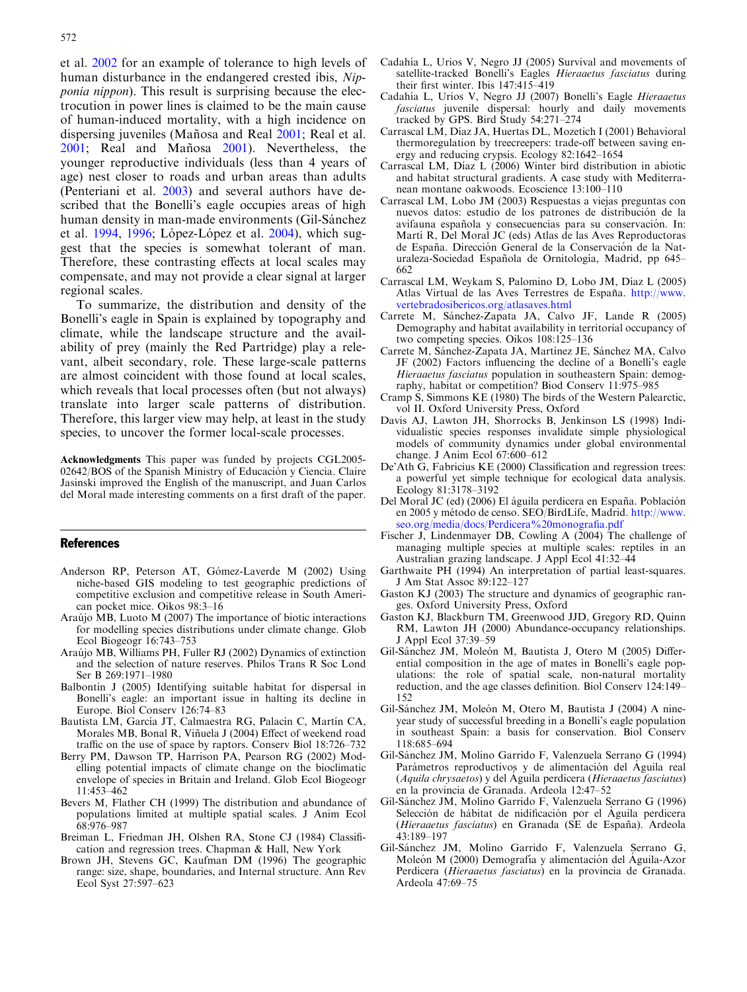<span id="page-7-0"></span>et al. [2002](#page-8-0) for an example of tolerance to high levels of human disturbance in the endangered crested ibis, Nipponia nippon). This result is surprising because the electrocution in power lines is claimed to be the main cause of human-induced mortality, with a high incidence on dispersing juveniles (Mañosa and Real [2001;](#page-8-0) Real et al. [2001](#page-8-0); Real and Mañosa [2001\)](#page-8-0). Nevertheless, the younger reproductive individuals (less than 4 years of age) nest closer to roads and urban areas than adults (Penteriani et al. [2003\)](#page-8-0) and several authors have described that the Bonelli's eagle occupies areas of high human density in man-made environments (Gil-Sánchez et al.  $1994$ ,  $1996$ ; López-López et al.  $2004$ ), which suggest that the species is somewhat tolerant of man. Therefore, these contrasting effects at local scales may compensate, and may not provide a clear signal at larger regional scales.

To summarize, the distribution and density of the Bonelli's eagle in Spain is explained by topography and climate, while the landscape structure and the availability of prey (mainly the Red Partridge) play a relevant, albeit secondary, role. These large-scale patterns are almost coincident with those found at local scales, which reveals that local processes often (but not always) translate into larger scale patterns of distribution. Therefore, this larger view may help, at least in the study species, to uncover the former local-scale processes.

Acknowledgments This paper was funded by projects CGL2005- 02642/BOS of the Spanish Ministry of Educación y Ciencia. Claire Jasinski improved the English of the manuscript, and Juan Carlos del Moral made interesting comments on a first draft of the paper.

#### References

- Anderson RP, Peterson AT, Gómez-Laverde M (2002) Using niche-based GIS modeling to test geographic predictions of competitive exclusion and competitive release in South American pocket mice. Oikos 98:3–16
- Araújo MB, Luoto M (2007) The importance of biotic interactions for modelling species distributions under climate change. Glob Ecol Biogeogr 16:743–753
- Arau´jo MB, Williams PH, Fuller RJ (2002) Dynamics of extinction and the selection of nature reserves. Philos Trans R Soc Lond Ser B 269:1971–1980
- Balbontin J (2005) Identifying suitable habitat for dispersal in Bonelli's eagle: an important issue in halting its decline in Europe. Biol Conserv 126:74–83
- Bautista LM, García JT, Calmaestra RG, Palacín C, Martín CA, Morales MB, Bonal R, Viñuela J (2004) Effect of weekend road traffic on the use of space by raptors. Conserv Biol 18:726–732
- Berry PM, Dawson TP, Harrison PA, Pearson RG (2002) Modelling potential impacts of climate change on the bioclimatic envelope of species in Britain and Ireland. Glob Ecol Biogeogr 11:453–462
- Bevers M, Flather CH (1999) The distribution and abundance of populations limited at multiple spatial scales. J Anim Ecol 68:976–987
- Breiman L, Friedman JH, Olshen RA, Stone CJ (1984) Classification and regression trees. Chapman & Hall, New York
- Brown JH, Stevens GC, Kaufman DM (1996) The geographic range: size, shape, boundaries, and Internal structure. Ann Rev Ecol Syst 27:597–623
- Cadahía L, Urios V, Negro JJ (2005) Survival and movements of satellite-tracked Bonelli's Eagles Hieraaetus fasciatus during their first winter. Ibis 147:415–419
- Cadahı´a L, Urios V, Negro JJ (2007) Bonelli's Eagle Hieraaetus fasciatus juvenile dispersal: hourly and daily movements tracked by GPS. Bird Study 54:271–274
- Carrascal LM, Díaz JA, Huertas DL, Mozetich I (2001) Behavioral thermoregulation by treecreepers: trade-off between saving energy and reducing crypsis. Ecology 82:1642–1654
- Carrascal LM, Díaz L (2006) Winter bird distribution in abiotic and habitat structural gradients. A case study with Mediterranean montane oakwoods. Ecoscience 13:100–110
- Carrascal LM, Lobo JM (2003) Respuestas a viejas preguntas con nuevos datos: estudio de los patrones de distribución de la avifauna española y consecuencias para su conservación. In: Martí R, Del Moral JC (eds) Atlas de las Aves Reproductoras de España. Dirección General de la Conservación de la Naturaleza-Sociedad Española de Ornitología, Madrid, pp 645– 662
- Carrascal LM, Weykam S, Palomino D, Lobo JM, Díaz L (2005) Atlas Virtual de las Aves Terrestres de España. [http://www.](http://www.vertebradosibericos.org/atlasaves.html) [vertebradosibericos.org/atlasaves.html](http://www.vertebradosibericos.org/atlasaves.html)
- Carrete M, Sánchez-Zapata JA, Calvo JF, Lande R (2005) Demography and habitat availability in territorial occupancy of two competing species. Oikos 108:125–136
- Carrete M, Sánchez-Zapata JA, Martínez JE, Sánchez MA, Calvo JF (2002) Factors influencing the decline of a Bonelli's eagle Hieraaetus fasciatus population in southeastern Spain: demography, habitat or competition? Biod Conserv 11:975–985
- Cramp S, Simmons KE (1980) The birds of the Western Palearctic, vol II. Oxford University Press, Oxford
- Davis AJ, Lawton JH, Shorrocks B, Jenkinson LS (1998) Individualistic species responses invalidate simple physiological models of community dynamics under global environmental change. J Anim Ecol 67:600–612
- De'Ath G, Fabricius KE (2000) Classification and regression trees: a powerful yet simple technique for ecological data analysis. Ecology 81:3178–3192
- Del Moral JC (ed) (2006) El águila perdicera en España. Población en 2005 y método de censo. SEO/BirdLife, Madrid. [http://www.](http://www.seo.org/media/docs/Perdicera%20monografia.pdf) [seo.org/media/docs/Perdicera%20monografia.pdf](http://www.seo.org/media/docs/Perdicera%20monografia.pdf)
- Fischer J, Lindenmayer DB, Cowling A (2004) The challenge of managing multiple species at multiple scales: reptiles in an Australian grazing landscape. J Appl Ecol 41:32–44
- Garthwaite PH (1994) An interpretation of partial least-squares. J Am Stat Assoc 89:122–127
- Gaston KJ (2003) The structure and dynamics of geographic ranges. Oxford University Press, Oxford
- Gaston KJ, Blackburn TM, Greenwood JJD, Gregory RD, Quinn RM, Lawton JH (2000) Abundance-occupancy relationships. J Appl Ecol 37:39–59
- Gil-Sánchez JM, Moleón M, Bautista J, Otero M (2005) Differential composition in the age of mates in Bonelli's eagle populations: the role of spatial scale, non-natural mortality reduction, and the age classes definition. Biol Conserv 124:149– 152
- Gil-Sánchez JM, Moleón M, Otero M, Bautista J (2004) A nineyear study of successful breeding in a Bonelli's eagle population in southeast Spain: a basis for conservation. Biol Conserv 118:685–694
- Gil-Sa´nchez JM, Molino Garrido F, Valenzuela Serrano G (1994) Parámetros reproductivos y de alimentación del Águila real (Aquila chrysaetos) y del Aguila perdicera (Hieraaetus fasciatus) en la provincia de Granada. Ardeola 12:47–52
- Gil-Sa´nchez JM, Molino Garrido F, Valenzuela Serrano G (1996) Selección de hábitat de nidificación por el Águila perdicera (Hieraaetus fasciatus) en Granada (SE de España). Ardeola 43:189–197
- Gil-Sánchez JM, Molino Garrido F, Valenzuela Serrano G, Moleón M (2000) Demografía y alimentación del Águila-Azor Perdicera (Hieraaetus fasciatus) en la provincia de Granada. Ardeola 47:69–75